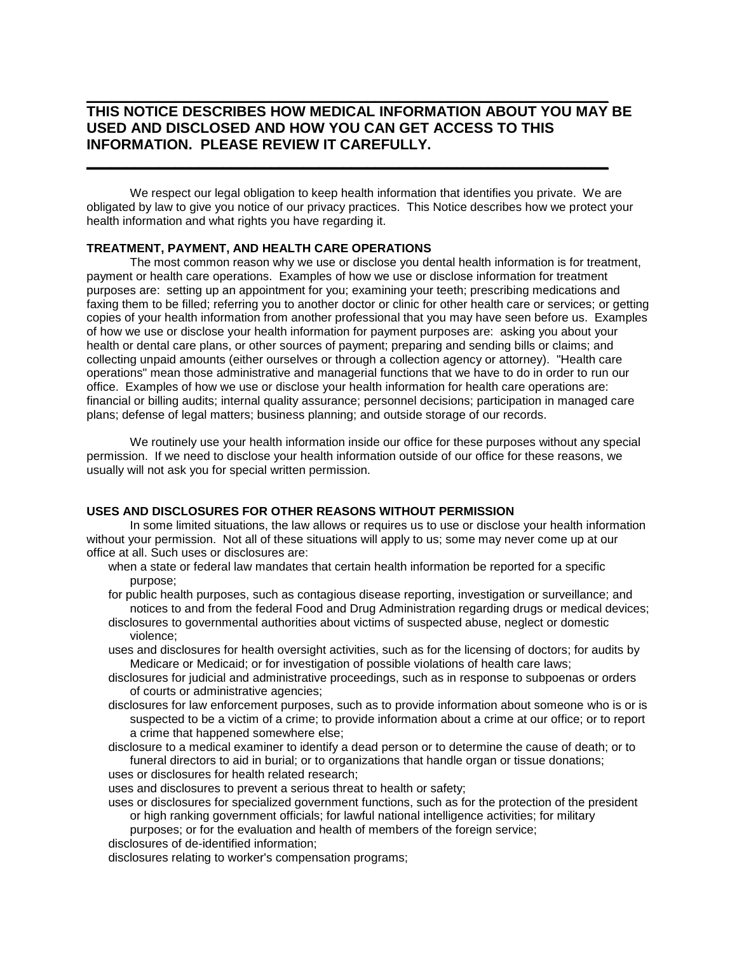# **THIS NOTICE DESCRIBES HOW MEDICAL INFORMATION ABOUT YOU MAY BE USED AND DISCLOSED AND HOW YOU CAN GET ACCESS TO THIS INFORMATION. PLEASE REVIEW IT CAREFULLY.**

**\_\_\_\_\_\_\_\_\_\_\_\_\_\_\_\_\_\_\_\_\_\_\_\_\_\_\_\_\_\_\_\_\_\_\_\_\_\_\_\_\_\_\_\_\_\_\_\_\_\_\_\_\_\_\_\_\_\_\_\_\_\_\_\_\_**

**\_\_\_\_\_\_\_\_\_\_\_\_\_\_\_\_\_\_\_\_\_\_\_\_\_\_\_\_\_\_\_\_\_\_\_\_\_\_\_\_\_\_\_\_\_\_\_\_\_\_\_\_\_\_\_\_\_\_\_\_\_\_\_\_\_**

We respect our legal obligation to keep health information that identifies you private. We are obligated by law to give you notice of our privacy practices. This Notice describes how we protect your health information and what rights you have regarding it.

# **TREATMENT, PAYMENT, AND HEALTH CARE OPERATIONS**

The most common reason why we use or disclose you dental health information is for treatment, payment or health care operations. Examples of how we use or disclose information for treatment purposes are: setting up an appointment for you; examining your teeth; prescribing medications and faxing them to be filled; referring you to another doctor or clinic for other health care or services; or getting copies of your health information from another professional that you may have seen before us. Examples of how we use or disclose your health information for payment purposes are: asking you about your health or dental care plans, or other sources of payment; preparing and sending bills or claims; and collecting unpaid amounts (either ourselves or through a collection agency or attorney). "Health care operations" mean those administrative and managerial functions that we have to do in order to run our office. Examples of how we use or disclose your health information for health care operations are: financial or billing audits; internal quality assurance; personnel decisions; participation in managed care plans; defense of legal matters; business planning; and outside storage of our records.

We routinely use your health information inside our office for these purposes without any special permission. If we need to disclose your health information outside of our office for these reasons, we usually will not ask you for special written permission.

# **USES AND DISCLOSURES FOR OTHER REASONS WITHOUT PERMISSION**

In some limited situations, the law allows or requires us to use or disclose your health information without your permission. Not all of these situations will apply to us; some may never come up at our office at all. Such uses or disclosures are:

- when a state or federal law mandates that certain health information be reported for a specific purpose;
- for public health purposes, such as contagious disease reporting, investigation or surveillance; and notices to and from the federal Food and Drug Administration regarding drugs or medical devices;
- disclosures to governmental authorities about victims of suspected abuse, neglect or domestic violence;
- uses and disclosures for health oversight activities, such as for the licensing of doctors; for audits by Medicare or Medicaid; or for investigation of possible violations of health care laws;
- disclosures for judicial and administrative proceedings, such as in response to subpoenas or orders of courts or administrative agencies;
- disclosures for law enforcement purposes, such as to provide information about someone who is or is suspected to be a victim of a crime; to provide information about a crime at our office; or to report a crime that happened somewhere else;
- disclosure to a medical examiner to identify a dead person or to determine the cause of death; or to funeral directors to aid in burial; or to organizations that handle organ or tissue donations;

uses or disclosures for health related research;

uses and disclosures to prevent a serious threat to health or safety;

- uses or disclosures for specialized government functions, such as for the protection of the president or high ranking government officials; for lawful national intelligence activities; for military
	- purposes; or for the evaluation and health of members of the foreign service;

disclosures of de-identified information;

disclosures relating to worker's compensation programs;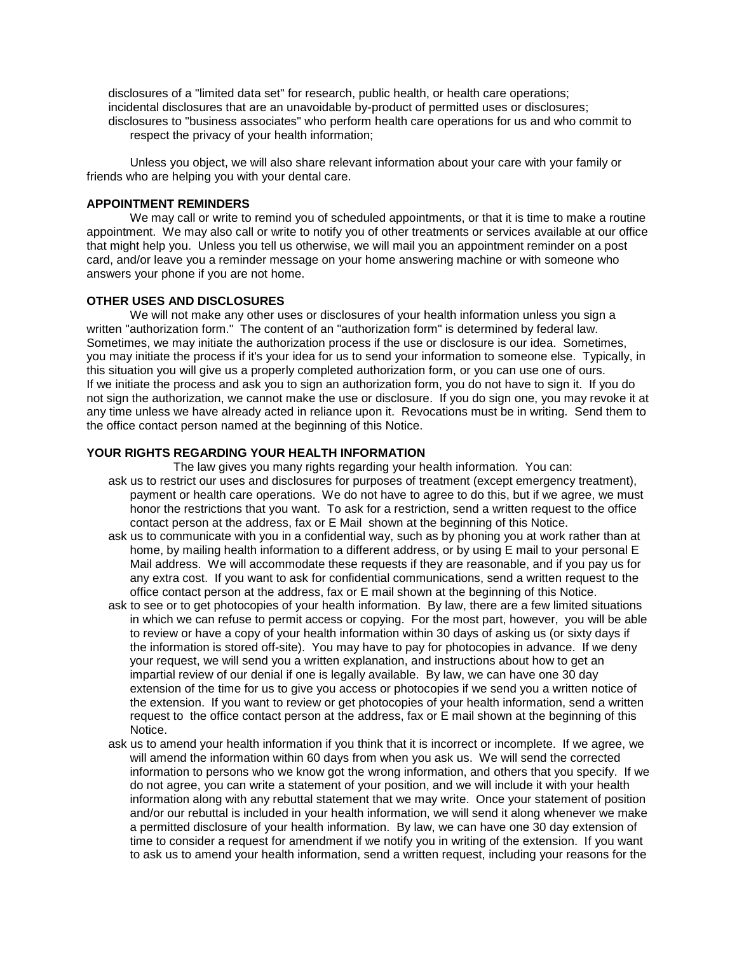disclosures of a "limited data set" for research, public health, or health care operations; incidental disclosures that are an unavoidable by-product of permitted uses or disclosures; disclosures to "business associates" who perform health care operations for us and who commit to respect the privacy of your health information;

Unless you object, we will also share relevant information about your care with your family or friends who are helping you with your dental care.

## **APPOINTMENT REMINDERS**

We may call or write to remind you of scheduled appointments, or that it is time to make a routine appointment. We may also call or write to notify you of other treatments or services available at our office that might help you. Unless you tell us otherwise, we will mail you an appointment reminder on a post card, and/or leave you a reminder message on your home answering machine or with someone who answers your phone if you are not home.

# **OTHER USES AND DISCLOSURES**

We will not make any other uses or disclosures of your health information unless you sign a written "authorization form." The content of an "authorization form" is determined by federal law. Sometimes, we may initiate the authorization process if the use or disclosure is our idea. Sometimes, you may initiate the process if it's your idea for us to send your information to someone else. Typically, in this situation you will give us a properly completed authorization form, or you can use one of ours. If we initiate the process and ask you to sign an authorization form, you do not have to sign it. If you do not sign the authorization, we cannot make the use or disclosure. If you do sign one, you may revoke it at any time unless we have already acted in reliance upon it. Revocations must be in writing. Send them to the office contact person named at the beginning of this Notice.

## **YOUR RIGHTS REGARDING YOUR HEALTH INFORMATION**

- The law gives you many rights regarding your health information. You can: ask us to restrict our uses and disclosures for purposes of treatment (except emergency treatment), payment or health care operations. We do not have to agree to do this, but if we agree, we must honor the restrictions that you want. To ask for a restriction, send a written request to the office contact person at the address, fax or E Mail shown at the beginning of this Notice.
- ask us to communicate with you in a confidential way, such as by phoning you at work rather than at home, by mailing health information to a different address, or by using E mail to your personal E Mail address. We will accommodate these requests if they are reasonable, and if you pay us for any extra cost. If you want to ask for confidential communications, send a written request to the office contact person at the address, fax or E mail shown at the beginning of this Notice.
- ask to see or to get photocopies of your health information. By law, there are a few limited situations in which we can refuse to permit access or copying. For the most part, however, you will be able to review or have a copy of your health information within 30 days of asking us (or sixty days if the information is stored off-site). You may have to pay for photocopies in advance. If we deny your request, we will send you a written explanation, and instructions about how to get an impartial review of our denial if one is legally available. By law, we can have one 30 day extension of the time for us to give you access or photocopies if we send you a written notice of the extension. If you want to review or get photocopies of your health information, send a written request to the office contact person at the address, fax or E mail shown at the beginning of this Notice.
- ask us to amend your health information if you think that it is incorrect or incomplete. If we agree, we will amend the information within 60 days from when you ask us. We will send the corrected information to persons who we know got the wrong information, and others that you specify. If we do not agree, you can write a statement of your position, and we will include it with your health information along with any rebuttal statement that we may write. Once your statement of position and/or our rebuttal is included in your health information, we will send it along whenever we make a permitted disclosure of your health information. By law, we can have one 30 day extension of time to consider a request for amendment if we notify you in writing of the extension. If you want to ask us to amend your health information, send a written request, including your reasons for the